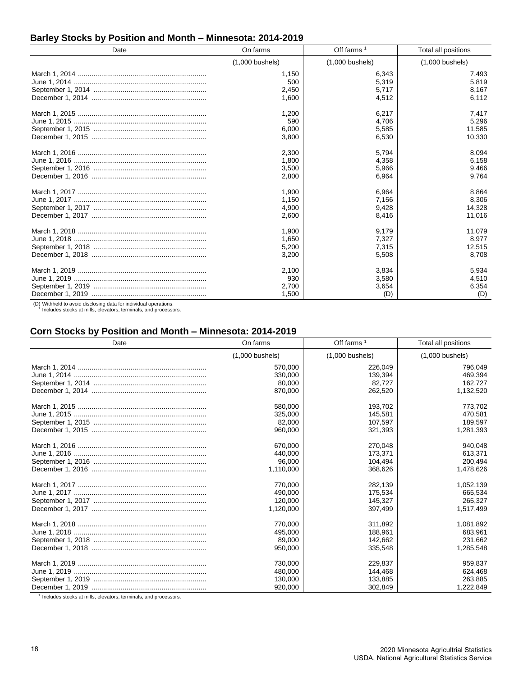## **Barley Stocks by Position and Month – Minnesota: 2014-2019**

| Date | On farms          | Off farms $1$     | Total all positions |
|------|-------------------|-------------------|---------------------|
|      | $(1,000$ bushels) | $(1,000$ bushels) | $(1,000$ bushels)   |
|      | 1,150             | 6,343             | 7,493               |
|      | 500               | 5,319             | 5,819               |
|      | 2,450             | 5,717             | 8,167               |
|      | 1.600             | 4,512             | 6,112               |
|      | 1,200             | 6,217             | 7,417               |
|      | 590               | 4,706             | 5,296               |
|      | 6,000             | 5,585             | 11,585              |
|      | 3,800             | 6,530             | 10,330              |
|      | 2,300             | 5,794             | 8,094               |
|      | 1,800             | 4,358             | 6,158               |
|      | 3,500             | 5,966             | 9,466               |
|      | 2,800             | 6,964             | 9,764               |
|      | 1,900             | 6,964             | 8,864               |
|      | 1,150             | 7,156             | 8,306               |
|      | 4.900             | 9,428             | 14,328              |
|      | 2,600             | 8,416             | 11,016              |
|      | 1,900             | 9,179             | 11,079              |
|      | 1,650             | 7,327             | 8,977               |
|      | 5,200             | 7,315             | 12,515              |
|      | 3,200             | 5,508             | 8,708               |
|      | 2,100             | 3,834             | 5,934               |
|      | 930               | 3,580             | 4,510               |
|      | 2,700             | 3,654             | 6,354               |
|      | 1,500             | (D)               | (D)                 |

(D) Withheld to avoid disclosing data for individual operations. 1 Includes stocks at mills, elevators, terminals, and processors.

#### **Corn Stocks by Position and Month – Minnesota: 2014-2019**

| Date | On farms          | Off farms $1$     | Total all positions |
|------|-------------------|-------------------|---------------------|
|      | $(1,000$ bushels) | $(1,000$ bushels) | $(1,000$ bushels)   |
|      | 570,000           | 226,049           | 796,049             |
|      | 330.000           | 139.394           | 469.394             |
|      | 80,000            | 82,727            | 162,727             |
|      | 870.000           | 262.520           | 1,132,520           |
|      | 580,000           | 193.702           | 773,702             |
|      | 325,000           | 145,581           | 470,581             |
|      | 82,000            | 107,597           | 189,597             |
|      | 960,000           | 321,393           | 1,281,393           |
|      | 670,000           | 270,048           | 940,048             |
|      | 440,000           | 173.371           | 613,371             |
|      | 96,000            | 104,494           | 200,494             |
|      | 1,110,000         | 368,626           | 1,478,626           |
|      | 770,000           | 282,139           | 1,052,139           |
|      | 490,000           | 175,534           | 665,534             |
|      | 120,000           | 145.327           | 265,327             |
|      | 1,120,000         | 397.499           | 1,517,499           |
|      | 770,000           | 311.892           | 1,081,892           |
|      | 495,000           | 188.961           | 683,961             |
|      | 89,000            | 142,662           | 231,662             |
|      | 950,000           | 335,548           | 1,285,548           |
|      | 730,000           | 229,837           | 959,837             |
|      | 480,000           | 144,468           | 624,468             |
|      | 130,000           | 133,885           | 263,885             |
|      | 920,000           | 302,849           | 1,222,849           |

<sup>1</sup> Includes stocks at mills, elevators, terminals, and processors.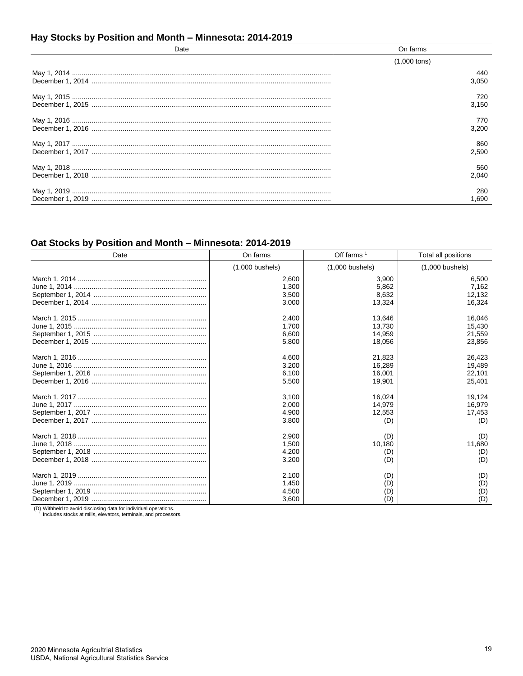## Hay Stocks by Position and Month - Minnesota: 2014-2019

| Date | On farms       |
|------|----------------|
|      | $(1,000$ tons) |
|      | 440<br>3.050   |
|      | 720<br>3.150   |
|      | 770.<br>3.200  |
|      | 860<br>2.590   |
|      | 560<br>2.040   |
|      | 280<br>1.690   |

# Oat Stocks by Position and Month - Minnesota: 2014-2019

| Date | On farms          | Off farms $1$     | Total all positions |
|------|-------------------|-------------------|---------------------|
|      | $(1,000$ bushels) | $(1,000$ bushels) | $(1,000$ bushels)   |
|      | 2,600             | 3,900             | 6,500               |
|      | 1,300             | 5,862             | 7,162               |
|      | 3,500             | 8,632             | 12,132              |
|      | 3,000             | 13,324            | 16,324              |
|      | 2,400             | 13,646            | 16,046              |
|      | 1.700             | 13.730            | 15,430              |
|      | 6,600             | 14,959            | 21,559              |
|      | 5.800             | 18,056            | 23,856              |
|      | 4,600             | 21,823            | 26.423              |
|      | 3,200             | 16,289            | 19,489              |
|      | 6.100             | 16,001            | 22,101              |
|      | 5,500             | 19.901            | 25,401              |
|      | 3,100             | 16,024            | 19,124              |
|      | 2,000             | 14,979            | 16,979              |
|      | 4,900             | 12,553            | 17,453              |
|      | 3,800             | (D)               | (D)                 |
|      | 2,900             | (D)               | (D)                 |
|      | 1,500             | 10,180            | 11,680              |
|      | 4,200             | (D)               | (D)                 |
|      | 3,200             | (D)               | (D)                 |
|      | 2,100             | (D)               | (D)                 |
|      | 1,450             | (D)               | (D)                 |
|      | 4,500             | (D)               | (D)                 |
|      | 3,600             | (D)               | (D)                 |

(D) Withheld to avoid disclosing data for individual operations.<br><sup>1</sup> Includes stocks at mills, elevators, terminals, and processors.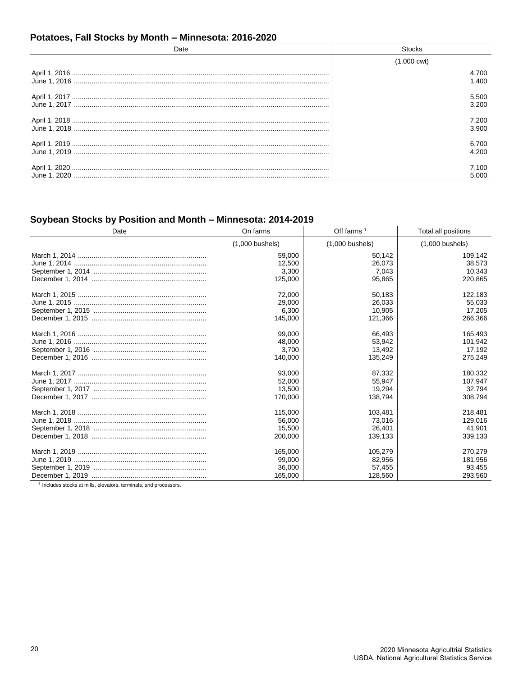## Potatoes, Fall Stocks by Month - Minnesota: 2016-2020

| Date | <b>Stocks</b>         |
|------|-----------------------|
|      | $(1,000 \text{ cwt})$ |
|      | 4,700                 |
|      | 1.400                 |
|      | 5,500<br>3.200        |
|      | 7,200                 |
|      | 3.900                 |
|      | 6,700                 |
|      | 4.200                 |
|      | 7.100                 |
|      | 5.000                 |

# Soybean Stocks by Position and Month - Minnesota: 2014-2019

| Date | On farms          | Off farms $1$     | Total all positions |
|------|-------------------|-------------------|---------------------|
|      | $(1,000$ bushels) | $(1,000$ bushels) | $(1,000$ bushels)   |
|      | 59,000            | 50,142            | 109,142             |
|      | 12,500            | 26.073            | 38,573              |
|      | 3,300             | 7,043             | 10,343              |
|      | 125,000           | 95,865            | 220,865             |
|      | 72,000            | 50,183            | 122,183             |
|      | 29,000            | 26.033            | 55,033              |
|      | 6,300             | 10,905            | 17,205              |
|      | 145,000           | 121,366           | 266,366             |
|      | 99,000            | 66,493            | 165,493             |
|      | 48,000            | 53,942            | 101,942             |
|      | 3,700             | 13,492            | 17,192              |
|      | 140,000           | 135,249           | 275,249             |
|      | 93,000            | 87,332            | 180,332             |
|      | 52,000            | 55,947            | 107,947             |
|      | 13.500            | 19.294            | 32,794              |
|      | 170,000           | 138.794           | 308,794             |
|      | 115,000           | 103,481           | 218,481             |
|      | 56,000            | 73,016            | 129,016             |
|      | 15,500            | 26,401            | 41,901              |
|      | 200.000           | 139,133           | 339,133             |
|      | 165,000           | 105,279           | 270,279             |
|      | 99,000            | 82,956            | 181,956             |
|      | 36,000            | 57,455            | 93,455              |
|      | 165,000           | 128,560           | 293,560             |

<sup>1</sup> Includes stocks at mills, elevators, terminals, and processors.